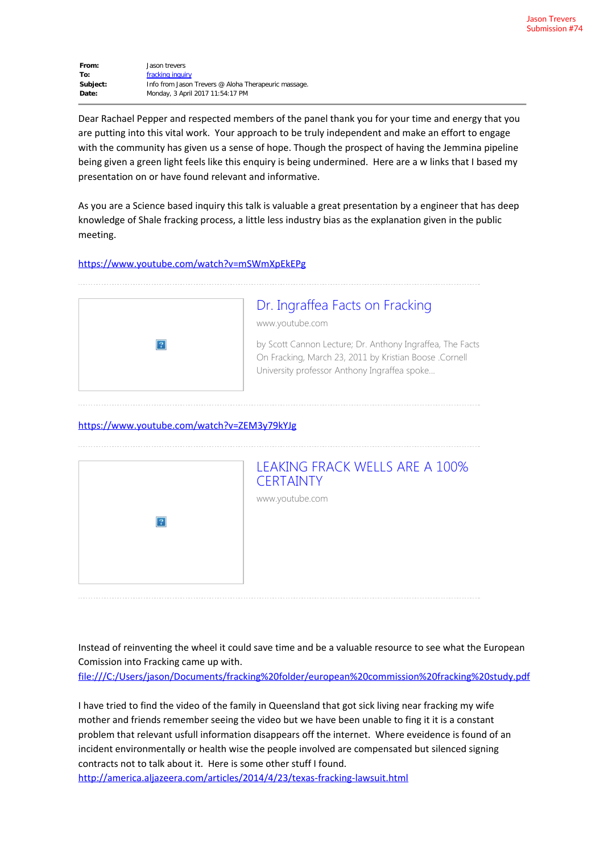**From:** Jason trevers **To:** [fracking inquiry](mailto:fracking.inquiry@nt.gov.au) **Subject:** Info from Jason Trevers @ Aloha Therapeuric massage **Date:** Monday, 3 April 2017 11:54:17 PM

Dear Rachael Pepper and respected members of the panel thank you for your time and energy that you are putting into this vital work. Your approach to be truly independent and make an effort to engage with the community has given us a sense of hope. Though the prospect of having the Jemmina pipeline being given a green light feels like this enquiry is being undermined. Here are a w links that I based my presentation on or have found relevant and informative.

As you are a Science based inquiry this talk is valuable a great presentation by a engineer that has deep knowledge of Shale fracking process, a little less industry bias as the explanation given in the public meeting.

#### <https://www.youtube.com/watch?v=mSWmXpEkEPg>



# [Dr. Ingraffea Facts on Fracking](https://www.youtube.com/watch?v=mSWmXpEkEPg)

www.youtube.com

by Scott Cannon Lecture; Dr. Anthony Ingraffea, The Facts On Fracking, March 23, 2011 by Kristian Boose .Cornell University professor Anthony Ingraffea spoke...

#### <https://www.youtube.com/watch?v=ZEM3y79kYJg>



Instead of reinventing the wheel it could save time and be a valuable resource to see what the European Comission into Fracking came up with.

<file:///C:/Users/jason/Documents/fracking%20folder/european%20commission%20fracking%20study.pdf>

I have tried to find the video of the family in Queensland that got sick living near fracking my wife mother and friends remember seeing the video but we have been unable to fing it it is a constant problem that relevant usfull information disappears off the internet. Where eveidence is found of an incident environmentally or health wise the people involved are compensated but silenced signing contracts not to talk about it. Here is some other stuff I found.

<http://america.aljazeera.com/articles/2014/4/23/texas-fracking-lawsuit.html>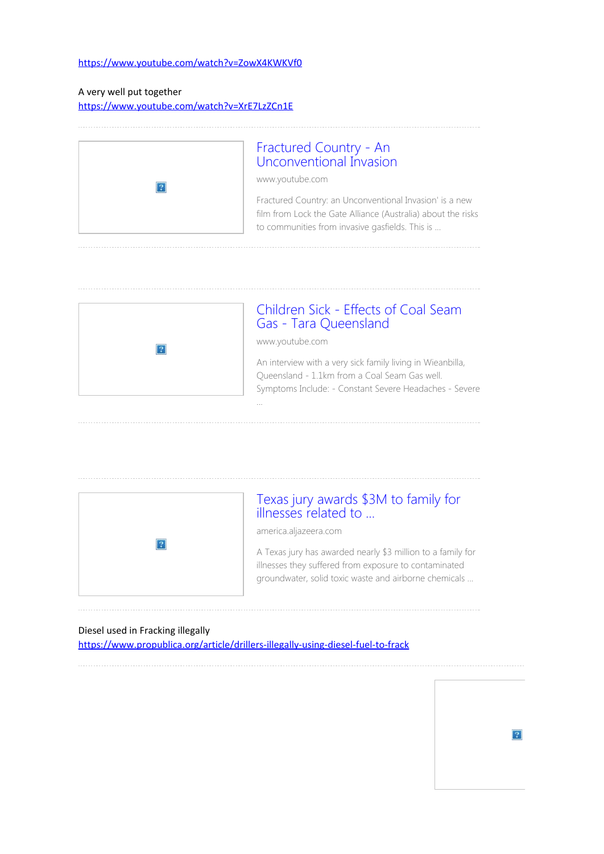### <https://www.youtube.com/watch?v=ZowX4KWKVf0>

### A very well put together

<https://www.youtube.com/watch?v=XrE7LzZCn1E>



## [Fractured Country - An](https://www.youtube.com/watch?v=XrE7LzZCn1E) [Unconventional Invasion](https://www.youtube.com/watch?v=XrE7LzZCn1E)

www.youtube.com

Fractured Country: an Unconventional Invasion' is a new film from Lock the Gate Alliance (Australia) about the risks to communities from invasive gasfields. This is ...



## [Children Sick - Effects of Coal Seam](https://www.youtube.com/watch?v=ZowX4KWKVf0) [Gas - Tara Queensland](https://www.youtube.com/watch?v=ZowX4KWKVf0)

www.youtube.com

...

An interview with a very sick family living in Wieanbilla, Queensland - 1.1km from a Coal Seam Gas well. Symptoms Include: - Constant Severe Headaches - Severe



### [Texas jury awards \\$3M to family for](http://america.aljazeera.com/articles/2014/4/23/texas-fracking-lawsuit.html) [illnesses related to ...](http://america.aljazeera.com/articles/2014/4/23/texas-fracking-lawsuit.html)

america.aljazeera.com

A Texas jury has awarded nearly \$3 million to a family for illnesses they suffered from exposure to contaminated groundwater, solid toxic waste and airborne chemicals ...

#### Diesel used in Fracking illegally

<https://www.propublica.org/article/drillers-illegally-using-diesel-fuel-to-frack>

 $\overline{?}$